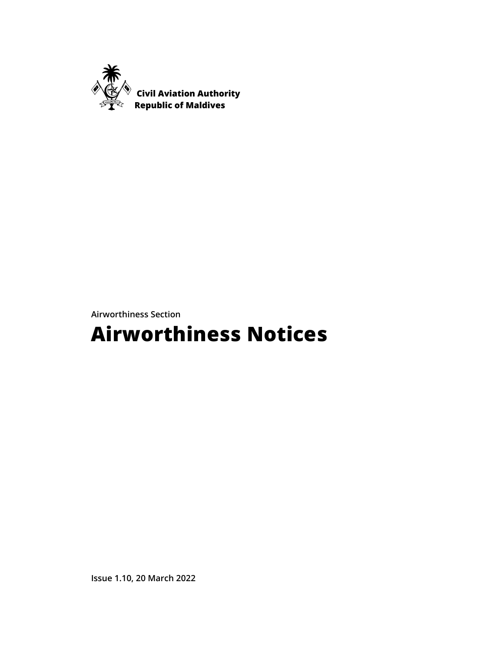

**Airworthiness Section** 

# **Airworthiness Notices**

**Issue 1.10, 20 March 2022**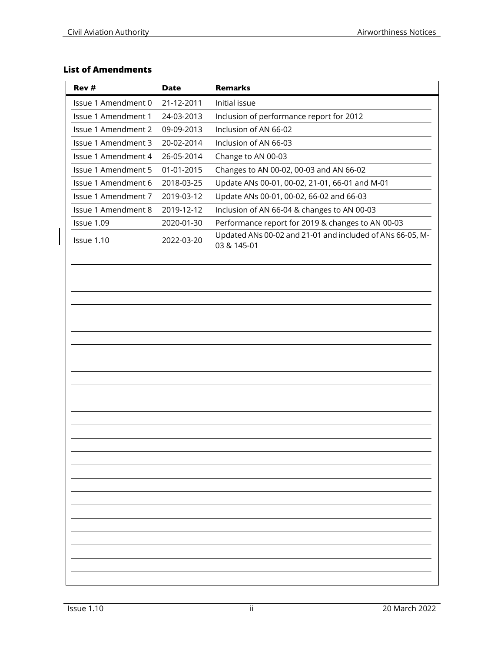# **List of Amendments**

| Rev #                                                                               | <b>Date</b> | <b>Remarks</b>                                                           |
|-------------------------------------------------------------------------------------|-------------|--------------------------------------------------------------------------|
| Issue 1 Amendment 0                                                                 | 21-12-2011  | Initial issue                                                            |
| Issue 1 Amendment 1                                                                 | 24-03-2013  | Inclusion of performance report for 2012                                 |
| <b>Issue 1 Amendment 2</b>                                                          | 09-09-2013  | Inclusion of AN 66-02                                                    |
| Issue 1 Amendment 3                                                                 | 20-02-2014  | Inclusion of AN 66-03                                                    |
| Issue 1 Amendment 4                                                                 | 26-05-2014  | Change to AN 00-03                                                       |
| <b>Issue 1 Amendment 5</b><br>01-01-2015<br>Changes to AN 00-02, 00-03 and AN 66-02 |             |                                                                          |
| Issue 1 Amendment 6                                                                 | 2018-03-25  | Update ANs 00-01, 00-02, 21-01, 66-01 and M-01                           |
| Issue 1 Amendment 7                                                                 | 2019-03-12  | Update ANs 00-01, 00-02, 66-02 and 66-03                                 |
| Issue 1 Amendment 8                                                                 | 2019-12-12  | Inclusion of AN 66-04 & changes to AN 00-03                              |
| Issue 1.09                                                                          | 2020-01-30  | Performance report for 2019 & changes to AN 00-03                        |
| Issue 1.10                                                                          | 2022-03-20  | Updated ANs 00-02 and 21-01 and included of ANs 66-05, M-<br>03 & 145-01 |
|                                                                                     |             |                                                                          |
|                                                                                     |             |                                                                          |
|                                                                                     |             |                                                                          |
|                                                                                     |             |                                                                          |
|                                                                                     |             |                                                                          |
|                                                                                     |             |                                                                          |
|                                                                                     |             |                                                                          |
|                                                                                     |             |                                                                          |
|                                                                                     |             |                                                                          |
|                                                                                     |             |                                                                          |
|                                                                                     |             |                                                                          |
|                                                                                     |             |                                                                          |
|                                                                                     |             |                                                                          |
|                                                                                     |             |                                                                          |
|                                                                                     |             |                                                                          |
|                                                                                     |             |                                                                          |
|                                                                                     |             |                                                                          |
|                                                                                     |             |                                                                          |
|                                                                                     |             |                                                                          |
|                                                                                     |             |                                                                          |
|                                                                                     |             |                                                                          |
|                                                                                     |             |                                                                          |
|                                                                                     |             |                                                                          |
|                                                                                     |             |                                                                          |
|                                                                                     |             |                                                                          |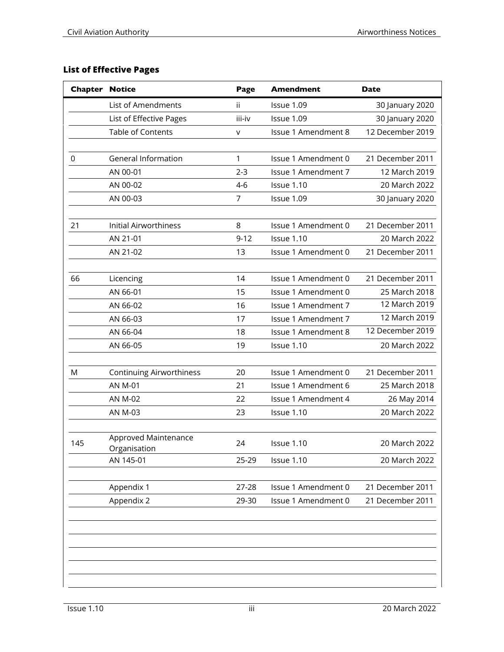# **List of Effective Pages**

| <b>Chapter Notice</b> |                                      | Page     | <b>Amendment</b>           | <b>Date</b>      |
|-----------------------|--------------------------------------|----------|----------------------------|------------------|
|                       | List of Amendments                   | ii       | Issue 1.09                 | 30 January 2020  |
|                       | List of Effective Pages              | iii-iv   | Issue 1.09                 | 30 January 2020  |
|                       | Table of Contents                    | v        | Issue 1 Amendment 8        | 12 December 2019 |
|                       |                                      |          |                            |                  |
| $\mathbf 0$           | <b>General Information</b>           | 1        | Issue 1 Amendment 0        | 21 December 2011 |
|                       | AN 00-01                             | $2 - 3$  | Issue 1 Amendment 7        | 12 March 2019    |
|                       | AN 00-02                             | $4-6$    | Issue 1.10                 | 20 March 2022    |
|                       | AN 00-03                             | 7        | Issue 1.09                 | 30 January 2020  |
|                       |                                      |          |                            |                  |
| 21                    | <b>Initial Airworthiness</b>         | 8        | Issue 1 Amendment 0        | 21 December 2011 |
|                       | AN 21-01                             | $9 - 12$ | Issue 1.10                 | 20 March 2022    |
|                       | AN 21-02                             | 13       | Issue 1 Amendment 0        | 21 December 2011 |
|                       |                                      |          |                            |                  |
| 66                    | Licencing                            | 14       | Issue 1 Amendment 0        | 21 December 2011 |
|                       | AN 66-01                             | 15       | Issue 1 Amendment 0        | 25 March 2018    |
|                       | AN 66-02                             | 16       | Issue 1 Amendment 7        | 12 March 2019    |
|                       | AN 66-03                             | 17       | <b>Issue 1 Amendment 7</b> | 12 March 2019    |
|                       | AN 66-04                             | 18       | Issue 1 Amendment 8        | 12 December 2019 |
|                       | AN 66-05                             | 19       | Issue 1.10                 | 20 March 2022    |
|                       |                                      |          |                            |                  |
| M                     | <b>Continuing Airworthiness</b>      | 20       | Issue 1 Amendment 0        | 21 December 2011 |
|                       | <b>AN M-01</b>                       | 21       | Issue 1 Amendment 6        | 25 March 2018    |
|                       | <b>AN M-02</b>                       | 22       | Issue 1 Amendment 4        | 26 May 2014      |
|                       | AN M-03                              | 23       | Issue 1.10                 | 20 March 2022    |
|                       |                                      |          |                            |                  |
| 145                   | Approved Maintenance<br>Organisation | 24       | Issue 1.10                 | 20 March 2022    |
|                       | AN 145-01                            | 25-29    | Issue 1.10                 | 20 March 2022    |
|                       |                                      |          |                            |                  |
|                       | Appendix 1                           | 27-28    | Issue 1 Amendment 0        | 21 December 2011 |
|                       | Appendix 2                           | 29-30    | Issue 1 Amendment 0        | 21 December 2011 |
|                       |                                      |          |                            |                  |
|                       |                                      |          |                            |                  |
|                       |                                      |          |                            |                  |
|                       |                                      |          |                            |                  |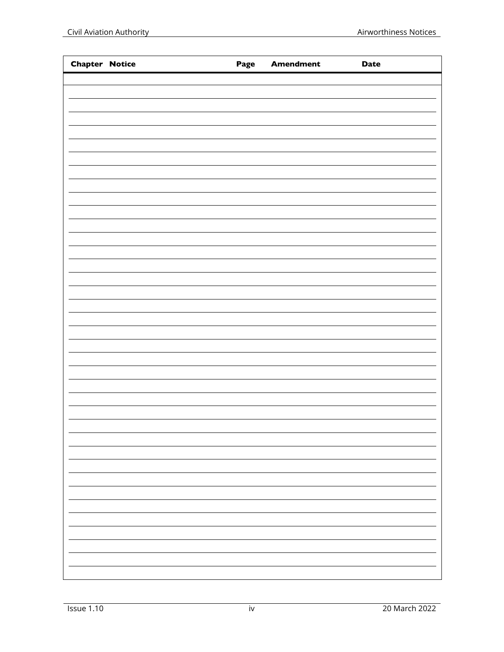| <b>Chapter Notice</b> |  | Page Amendment | <b>Date</b> |
|-----------------------|--|----------------|-------------|
|                       |  |                |             |
|                       |  |                |             |
|                       |  |                |             |
|                       |  |                |             |
|                       |  |                |             |
|                       |  |                |             |
|                       |  |                |             |
|                       |  |                |             |
|                       |  |                |             |
|                       |  |                |             |
|                       |  |                |             |
|                       |  |                |             |
|                       |  |                |             |
|                       |  |                |             |
|                       |  |                |             |
|                       |  |                |             |
|                       |  |                |             |
|                       |  |                |             |
|                       |  |                |             |
|                       |  |                |             |
|                       |  |                |             |
|                       |  |                |             |
|                       |  |                |             |
|                       |  |                |             |
|                       |  |                |             |
|                       |  |                |             |
|                       |  |                |             |
|                       |  |                |             |
|                       |  |                |             |
|                       |  |                |             |
|                       |  |                |             |
|                       |  |                |             |
|                       |  |                |             |
|                       |  |                |             |
|                       |  |                |             |
|                       |  |                |             |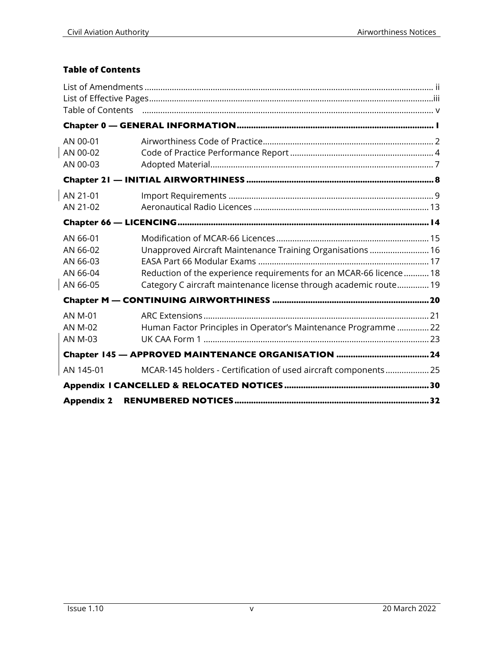# **Table of Contents**

| AN 00-01<br>AN 00-02<br>AN 00-03                         |                                                                                                                                                                                                        |  |
|----------------------------------------------------------|--------------------------------------------------------------------------------------------------------------------------------------------------------------------------------------------------------|--|
|                                                          |                                                                                                                                                                                                        |  |
| AN 21-01<br>AN 21-02                                     |                                                                                                                                                                                                        |  |
|                                                          |                                                                                                                                                                                                        |  |
| AN 66-01<br>AN 66-02<br>AN 66-03<br>AN 66-04<br>AN 66-05 | Unapproved Aircraft Maintenance Training Organisations  16<br>Reduction of the experience requirements for an MCAR-66 licence  18<br>Category C aircraft maintenance license through academic route 19 |  |
|                                                          |                                                                                                                                                                                                        |  |
| <b>AN M-01</b><br><b>AN M-02</b><br><b>AN M-03</b>       | Human Factor Principles in Operator's Maintenance Programme 22                                                                                                                                         |  |
|                                                          |                                                                                                                                                                                                        |  |
| AN 145-01                                                | MCAR-145 holders - Certification of used aircraft components 25                                                                                                                                        |  |
|                                                          |                                                                                                                                                                                                        |  |
| <b>Appendix 2</b>                                        |                                                                                                                                                                                                        |  |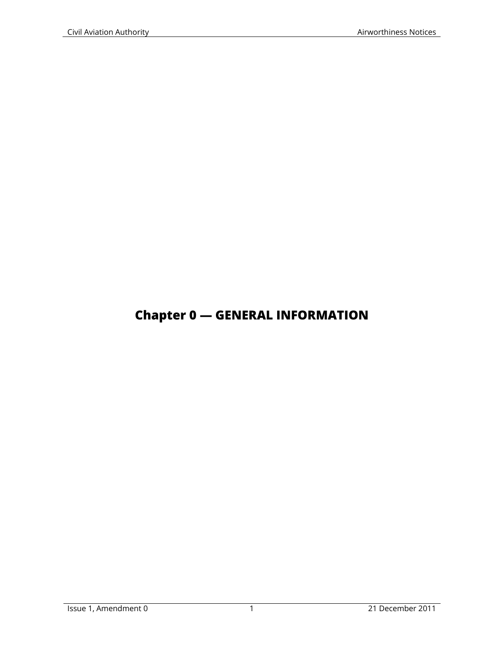# **Chapter 0 — GENERAL INFORMATION**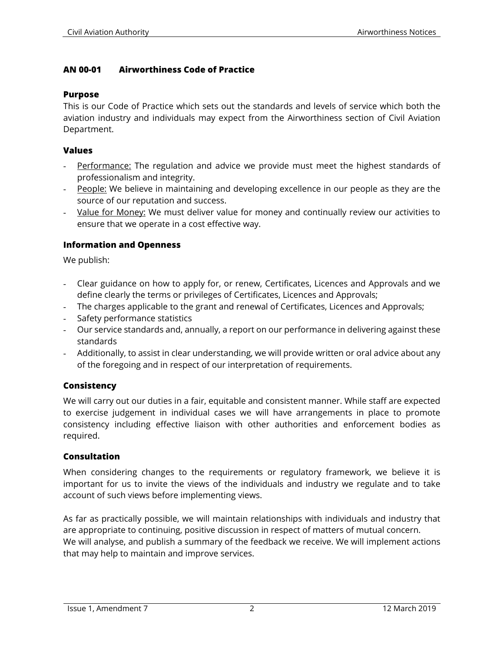#### **AN 00-01 Airworthiness Code of Practice**

#### **Purpose**

This is our Code of Practice which sets out the standards and levels of service which both the aviation industry and individuals may expect from the Airworthiness section of Civil Aviation Department.

#### **Values**

- Performance: The regulation and advice we provide must meet the highest standards of professionalism and integrity.
- People: We believe in maintaining and developing excellence in our people as they are the source of our reputation and success.
- Value for Money: We must deliver value for money and continually review our activities to ensure that we operate in a cost effective way.

#### **Information and Openness**

We publish:

- Clear guidance on how to apply for, or renew, Certificates, Licences and Approvals and we define clearly the terms or privileges of Certificates, Licences and Approvals;
- The charges applicable to the grant and renewal of Certificates, Licences and Approvals;
- Safety performance statistics
- Our service standards and, annually, a report on our performance in delivering against these standards
- Additionally, to assist in clear understanding, we will provide written or oral advice about any of the foregoing and in respect of our interpretation of requirements.

## **Consistency**

We will carry out our duties in a fair, equitable and consistent manner. While staff are expected to exercise judgement in individual cases we will have arrangements in place to promote consistency including effective liaison with other authorities and enforcement bodies as required.

#### **Consultation**

When considering changes to the requirements or regulatory framework, we believe it is important for us to invite the views of the individuals and industry we regulate and to take account of such views before implementing views.

As far as practically possible, we will maintain relationships with individuals and industry that are appropriate to continuing, positive discussion in respect of matters of mutual concern. We will analyse, and publish a summary of the feedback we receive. We will implement actions that may help to maintain and improve services.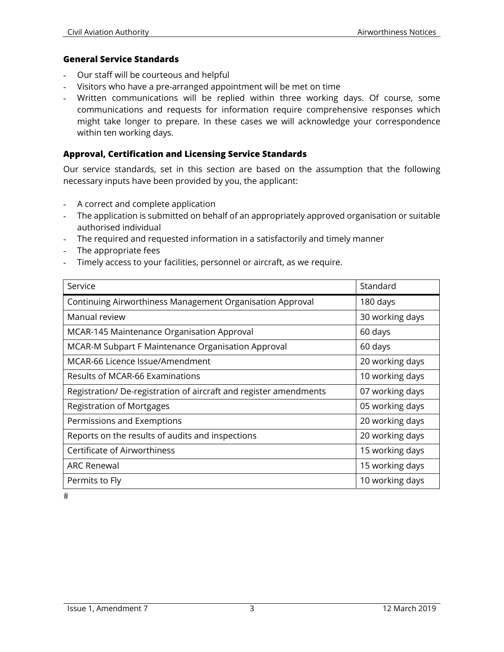#### **General Service Standards**

- Our staff will be courteous and helpful
- Visitors who have a pre-arranged appointment will be met on time
- Written communications will be replied within three working days. Of course, some communications and requests for information require comprehensive responses which might take longer to prepare. In these cases we will acknowledge your correspondence within ten working days.

#### **Approval, Certification and Licensing Service Standards**

Our service standards, set in this section are based on the assumption that the following necessary inputs have been provided by you, the applicant:

- A correct and complete application
- The application is submitted on behalf of an appropriately approved organisation or suitable authorised individual
- The required and requested information in a satisfactorily and timely manner
- The appropriate fees
- Timely access to your facilities, personnel or aircraft, as we require.

| Service                                                          | Standard        |
|------------------------------------------------------------------|-----------------|
| Continuing Airworthiness Management Organisation Approval        | 180 days        |
| Manual review                                                    | 30 working days |
| MCAR-145 Maintenance Organisation Approval                       | 60 days         |
| MCAR-M Subpart F Maintenance Organisation Approval               | 60 days         |
| MCAR-66 Licence Issue/Amendment                                  | 20 working days |
| Results of MCAR-66 Examinations                                  | 10 working days |
| Registration/De-registration of aircraft and register amendments | 07 working days |
| <b>Registration of Mortgages</b>                                 | 05 working days |
| Permissions and Exemptions                                       | 20 working days |
| Reports on the results of audits and inspections                 | 20 working days |
| Certificate of Airworthiness                                     | 15 working days |
| ARC Renewal                                                      | 15 working days |
| Permits to Fly                                                   | 10 working days |

 $#$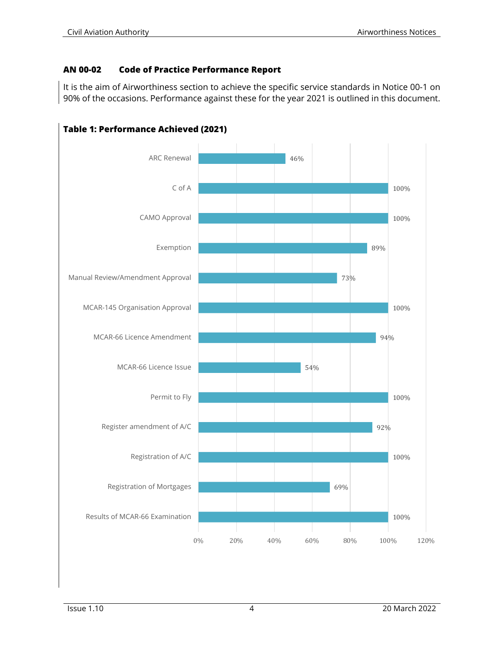# **AN 00-02 Code of Practice Performance Report**

It is the aim of Airworthiness section to achieve the specific service standards in Notice 00-1 on 90% of the occasions. Performance against these for the year 2021 is outlined in this document.



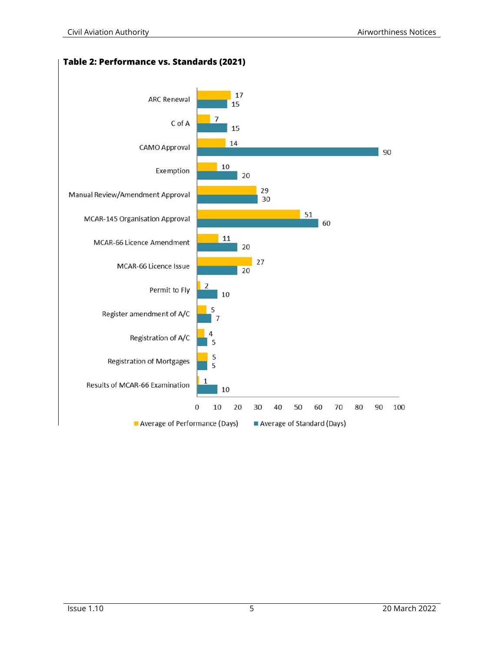

**Table 2: Performance vs. Standards (2021)**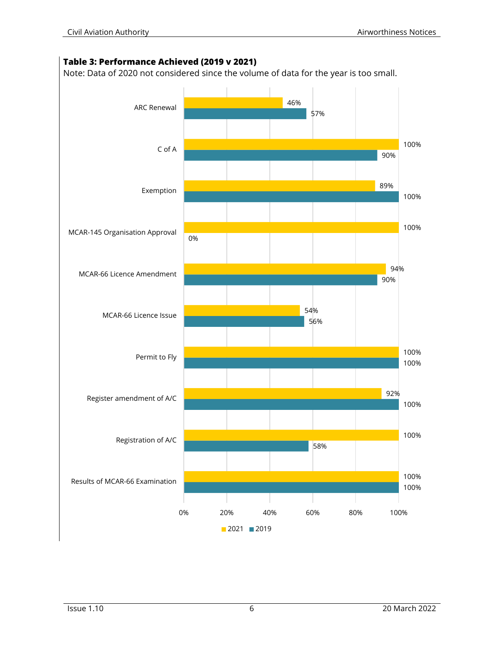#### **Table 3: Performance Achieved (2019 v 2021)**

Note: Data of 2020 not considered since the volume of data for the year is too small.

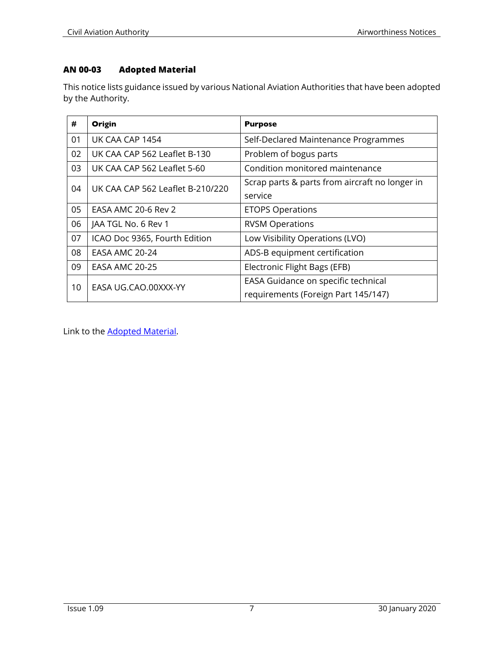# **AN 00-03 Adopted Material**

This notice lists guidance issued by various National Aviation Authorities that have been adopted by the Authority.

| #  | Origin                           | <b>Purpose</b>                                 |
|----|----------------------------------|------------------------------------------------|
| 01 | UK CAA CAP 1454                  | Self-Declared Maintenance Programmes           |
| 02 | UK CAA CAP 562 Leaflet B-130     | Problem of bogus parts                         |
| 03 | UK CAA CAP 562 Leaflet 5-60      | Condition monitored maintenance                |
| 04 | UK CAA CAP 562 Leaflet B-210/220 | Scrap parts & parts from aircraft no longer in |
|    |                                  | service                                        |
| 05 | EASA AMC 20-6 Rev 2              | <b>ETOPS Operations</b>                        |
| 06 | JAA TGL No. 6 Rev 1              | <b>RVSM Operations</b>                         |
| 07 | ICAO Doc 9365, Fourth Edition    | Low Visibility Operations (LVO)                |
| 08 | EASA AMC 20-24                   | ADS-B equipment certification                  |
| 09 | <b>EASA AMC 20-25</b>            | Electronic Flight Bags (EFB)                   |
| 10 | EASA UG.CAO.00XXX-YY             | EASA Guidance on specific technical            |
|    |                                  | requirements (Foreign Part 145/147)            |

Link to the **Adopted Material**.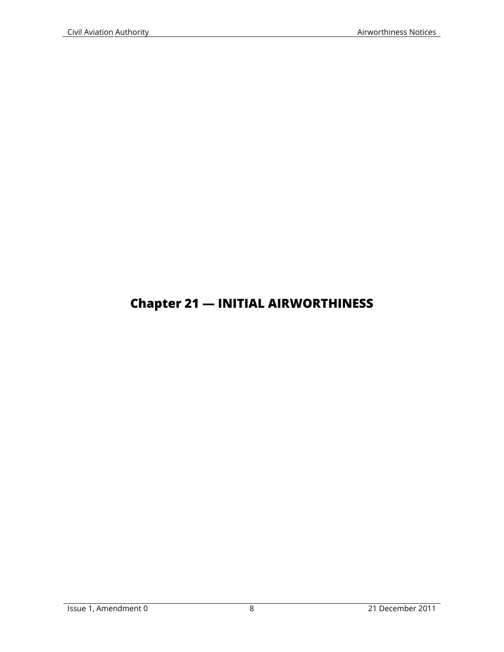# **Chapter 21 — INITIAL AIRWORTHINESS**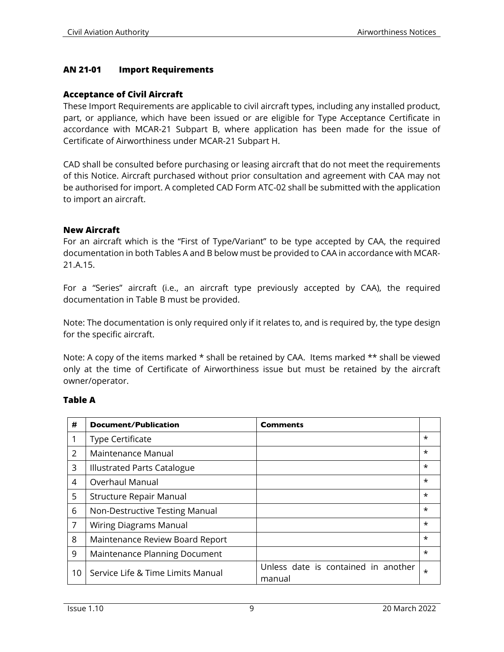#### **AN 21-01 Import Requirements**

#### **Acceptance of Civil Aircraft**

These Import Requirements are applicable to civil aircraft types, including any installed product, part, or appliance, which have been issued or are eligible for Type Acceptance Certificate in accordance with MCAR-21 Subpart B, where application has been made for the issue of Certificate of Airworthiness under MCAR-21 Subpart H.

CAD shall be consulted before purchasing or leasing aircraft that do not meet the requirements of this Notice. Aircraft purchased without prior consultation and agreement with CAA may not be authorised for import. A completed CAD Form ATC-02 shall be submitted with the application to import an aircraft.

#### **New Aircraft**

For an aircraft which is the "First of Type/Variant" to be type accepted by CAA, the required documentation in both Tables A and B below must be provided to CAA in accordance with MCAR-21.A.15.

For a "Series" aircraft (i.e., an aircraft type previously accepted by CAA), the required documentation in Table B must be provided.

Note: The documentation is only required only if it relates to, and is required by, the type design for the specific aircraft.

Note: A copy of the items marked \* shall be retained by CAA. Items marked \*\* shall be viewed only at the time of Certificate of Airworthiness issue but must be retained by the aircraft owner/operator.

#### **Table A**

| #             | Document/Publication              | Comments                                      |         |
|---------------|-----------------------------------|-----------------------------------------------|---------|
|               | <b>Type Certificate</b>           |                                               | $\star$ |
| $\mathcal{L}$ | Maintenance Manual                |                                               | $\star$ |
| 3             | Illustrated Parts Catalogue       |                                               | $\star$ |
| 4             | Overhaul Manual                   |                                               | $\star$ |
| 5             | <b>Structure Repair Manual</b>    |                                               | $\star$ |
| 6             | Non-Destructive Testing Manual    |                                               | $\star$ |
| 7             | Wiring Diagrams Manual            |                                               | $\star$ |
| 8             | Maintenance Review Board Report   |                                               | $\star$ |
| 9             | Maintenance Planning Document     |                                               | $\star$ |
| 10            | Service Life & Time Limits Manual | Unless date is contained in another<br>manual | $\star$ |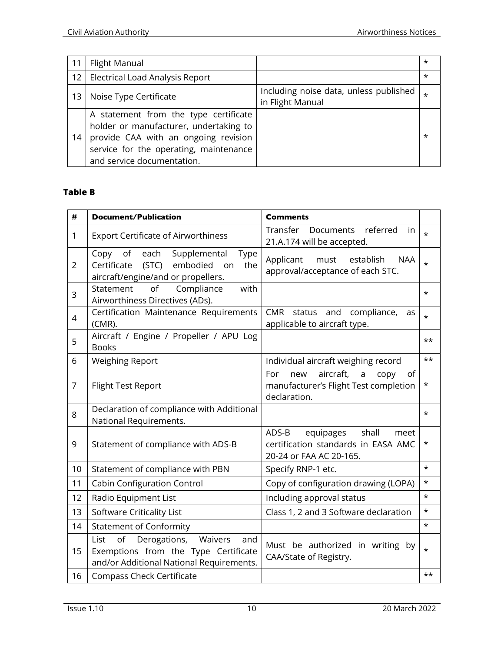| 11 | <b>Flight Manual</b>                                                                                                                                                                            |                                                            | $\star$  |
|----|-------------------------------------------------------------------------------------------------------------------------------------------------------------------------------------------------|------------------------------------------------------------|----------|
| 12 | Electrical Load Analysis Report                                                                                                                                                                 |                                                            | $\star$  |
| 13 | Noise Type Certificate                                                                                                                                                                          | Including noise data, unless published<br>in Flight Manual | $^\star$ |
| 14 | A statement from the type certificate<br>holder or manufacturer, undertaking to<br>provide CAA with an ongoing revision<br>service for the operating, maintenance<br>and service documentation. |                                                            | *        |

# **Table B**

| #              | <b>Document/Publication</b>                                                                                                              | <b>Comments</b>                                                                                                |          |
|----------------|------------------------------------------------------------------------------------------------------------------------------------------|----------------------------------------------------------------------------------------------------------------|----------|
| 1              | <b>Export Certificate of Airworthiness</b>                                                                                               | Transfer<br>referred<br>Documents<br>in<br>21.A.174 will be accepted.                                          | $\star$  |
| $\overline{2}$ | of<br>Copy<br>each<br>Supplemental<br><b>Type</b><br>Certificate<br>(STC)<br>embodied<br>the<br>on<br>aircraft/engine/and or propellers. | must<br>establish<br>Applicant<br><b>NAA</b><br>approval/acceptance of each STC.                               | $\star$  |
| 3              | of<br>with<br>Compliance<br>Statement<br>Airworthiness Directives (ADs).                                                                 |                                                                                                                | $^\star$ |
| $\overline{4}$ | Certification Maintenance Requirements<br>(CMR).                                                                                         | <b>CMR</b><br>and<br>compliance,<br>status<br>as<br>applicable to aircraft type.                               | $\star$  |
| 5              | Aircraft / Engine / Propeller / APU Log<br><b>Books</b>                                                                                  |                                                                                                                | $++$     |
| 6              | <b>Weighing Report</b>                                                                                                                   | Individual aircraft weighing record                                                                            | $***$    |
| $\overline{7}$ | <b>Flight Test Report</b>                                                                                                                | aircraft,<br>For<br>new<br>$\mathsf{a}$<br>of<br>copy<br>manufacturer's Flight Test completion<br>declaration. | *        |
| 8              | Declaration of compliance with Additional                                                                                                |                                                                                                                | $\star$  |
|                | National Requirements.                                                                                                                   |                                                                                                                |          |
| 9              | Statement of compliance with ADS-B                                                                                                       | ADS-B<br>shall<br>equipages<br>meet<br>certification standards in EASA AMC<br>20-24 or FAA AC 20-165.          | *        |
| 10             | Statement of compliance with PBN                                                                                                         | Specify RNP-1 etc.                                                                                             | $\star$  |
| 11             | <b>Cabin Configuration Control</b>                                                                                                       | Copy of configuration drawing (LOPA)                                                                           | $\star$  |
| 12             | Radio Equipment List                                                                                                                     | Including approval status                                                                                      | $\star$  |
| 13             | <b>Software Criticality List</b>                                                                                                         | Class 1, 2 and 3 Software declaration                                                                          | $\star$  |
| 14             | <b>Statement of Conformity</b>                                                                                                           |                                                                                                                | $\star$  |
| 15             | of<br>List<br>Derogations,<br>Waivers<br>and<br>Exemptions from the Type Certificate<br>and/or Additional National Requirements.         | Must be authorized in writing by<br>CAA/State of Registry.                                                     | $\star$  |
| 16             | <b>Compass Check Certificate</b>                                                                                                         |                                                                                                                | $++$     |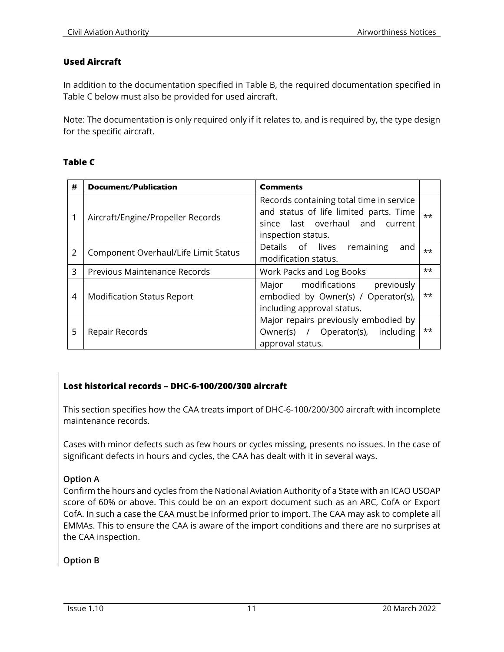#### **Used Aircraft**

In addition to the documentation specified in Table B, the required documentation specified in Table C below must also be provided for used aircraft.

Note: The documentation is only required only if it relates to, and is required by, the type design for the specific aircraft.

#### **Table C**

| # | Document/Publication                 | <b>Comments</b>                                                                                                                                |              |
|---|--------------------------------------|------------------------------------------------------------------------------------------------------------------------------------------------|--------------|
|   | Aircraft/Engine/Propeller Records    | Records containing total time in service<br>and status of life limited parts. Time<br>since last overhaul and<br>current<br>inspection status. | $***$        |
| 2 | Component Overhaul/Life Limit Status | Details of lives<br>remaining<br>and<br>modification status.                                                                                   | **           |
| 3 | Previous Maintenance Records         | Work Packs and Log Books                                                                                                                       | $***$        |
| 4 | <b>Modification Status Report</b>    | modifications<br>previously<br>Major<br>embodied by Owner(s) / Operator(s),<br>including approval status.                                      | $\star\star$ |
| 5 | Repair Records                       | Major repairs previously embodied by<br>Owner(s) / Operator(s), including<br>approval status.                                                  | $\star\star$ |

## **Lost historical records – DHC-6-100/200/300 aircraft**

This section specifies how the CAA treats import of DHC-6-100/200/300 aircraft with incomplete maintenance records.

Cases with minor defects such as few hours or cycles missing, presents no issues. In the case of significant defects in hours and cycles, the CAA has dealt with it in several ways.

#### **Option A**

Confirm the hours and cycles from the National Aviation Authority of a State with an ICAO USOAP score of 60% or above. This could be on an export document such as an ARC, CofA or Export CofA. In such a case the CAA must be informed prior to import. The CAA may ask to complete all EMMAs. This to ensure the CAA is aware of the import conditions and there are no surprises at the CAA inspection.

## **Option B**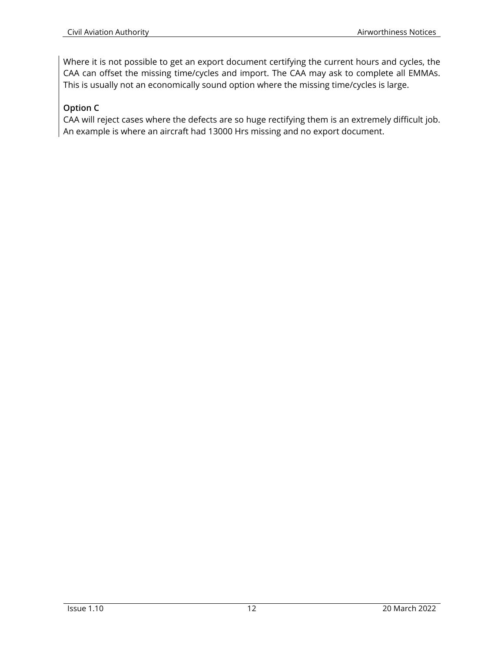Where it is not possible to get an export document certifying the current hours and cycles, the CAA can offset the missing time/cycles and import. The CAA may ask to complete all EMMAs. This is usually not an economically sound option where the missing time/cycles is large.

# **Option C**

CAA will reject cases where the defects are so huge rectifying them is an extremely difficult job. An example is where an aircraft had 13000 Hrs missing and no export document.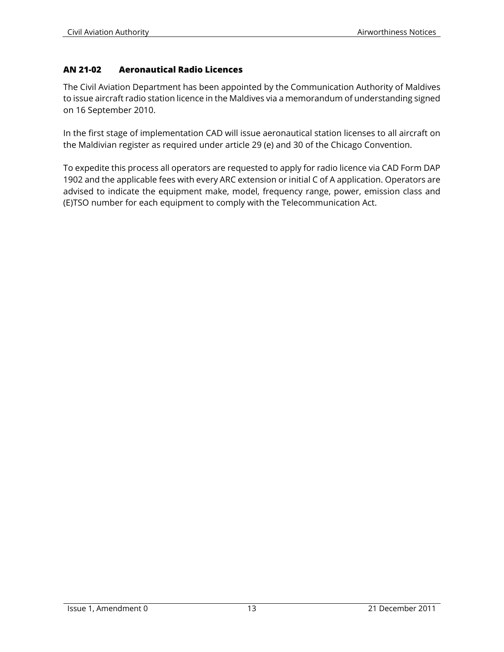#### **AN 21-02 Aeronautical Radio Licences**

The Civil Aviation Department has been appointed by the Communication Authority of Maldives to issue aircraft radio station licence in the Maldives via a memorandum of understanding signed on 16 September 2010.

In the first stage of implementation CAD will issue aeronautical station licenses to all aircraft on the Maldivian register as required under article 29 (e) and 30 of the Chicago Convention.

To expedite this process all operators are requested to apply for radio licence via CAD Form DAP 1902 and the applicable fees with every ARC extension or initial C of A application. Operators are advised to indicate the equipment make, model, frequency range, power, emission class and (E)TSO number for each equipment to comply with the Telecommunication Act.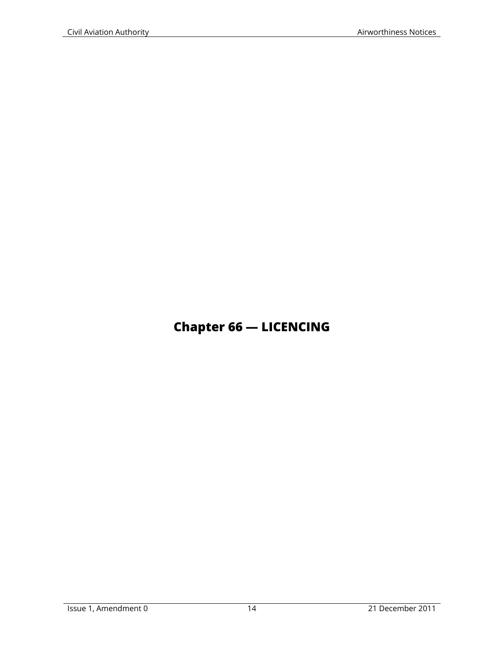# **Chapter 66 — LICENCING**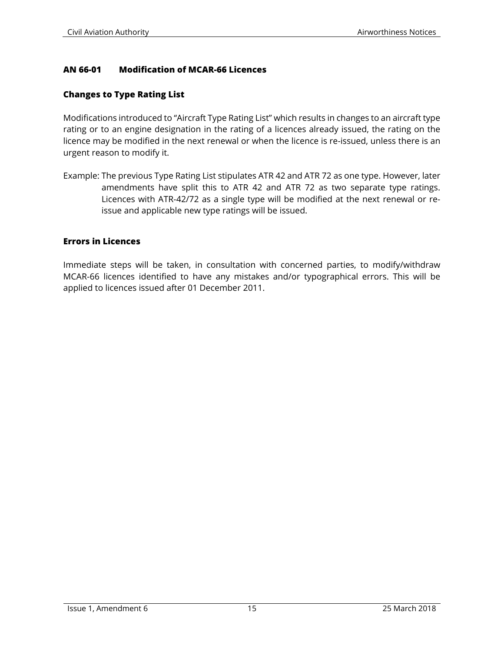#### **AN 66-01 Modification of MCAR-66 Licences**

#### **Changes to Type Rating List**

Modifications introduced to "Aircraft Type Rating List" which results in changes to an aircraft type rating or to an engine designation in the rating of a licences already issued, the rating on the licence may be modified in the next renewal or when the licence is re-issued, unless there is an urgent reason to modify it.

Example: The previous Type Rating List stipulates ATR 42 and ATR 72 as one type. However, later amendments have split this to ATR 42 and ATR 72 as two separate type ratings. Licences with ATR-42/72 as a single type will be modified at the next renewal or reissue and applicable new type ratings will be issued.

#### **Errors in Licences**

Immediate steps will be taken, in consultation with concerned parties, to modify/withdraw MCAR-66 licences identified to have any mistakes and/or typographical errors. This will be applied to licences issued after 01 December 2011.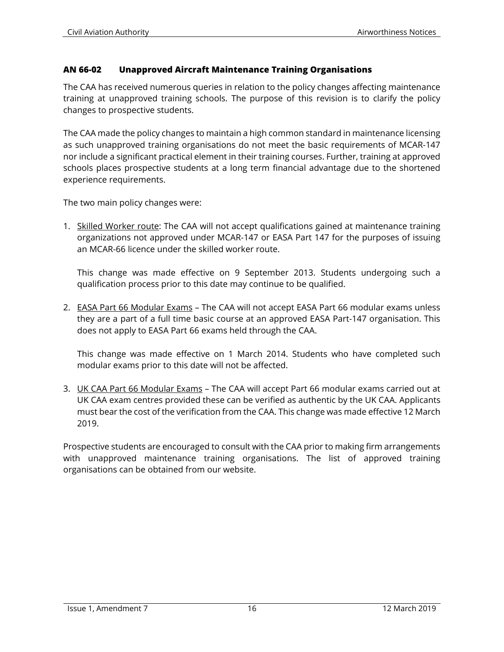#### **AN 66-02 Unapproved Aircraft Maintenance Training Organisations**

The CAA has received numerous queries in relation to the policy changes affecting maintenance training at unapproved training schools. The purpose of this revision is to clarify the policy changes to prospective students.

The CAA made the policy changes to maintain a high common standard in maintenance licensing as such unapproved training organisations do not meet the basic requirements of MCAR-147 nor include a significant practical element in their training courses. Further, training at approved schools places prospective students at a long term financial advantage due to the shortened experience requirements.

The two main policy changes were:

1. Skilled Worker route: The CAA will not accept qualifications gained at maintenance training organizations not approved under MCAR-147 or EASA Part 147 for the purposes of issuing an MCAR-66 licence under the skilled worker route.

This change was made effective on 9 September 2013. Students undergoing such a qualification process prior to this date may continue to be qualified.

2. EASA Part 66 Modular Exams - The CAA will not accept EASA Part 66 modular exams unless they are a part of a full time basic course at an approved EASA Part-147 organisation. This does not apply to EASA Part 66 exams held through the CAA.

This change was made effective on 1 March 2014. Students who have completed such modular exams prior to this date will not be affected.

3. UK CAA Part 66 Modular Exams – The CAA will accept Part 66 modular exams carried out at UK CAA exam centres provided these can be verified as authentic by the UK CAA. Applicants must bear the cost of the verification from the CAA. This change was made effective 12 March 2019.

Prospective students are encouraged to consult with the CAA prior to making firm arrangements with unapproved maintenance training organisations. The list of approved training organisations can be obtained from our website.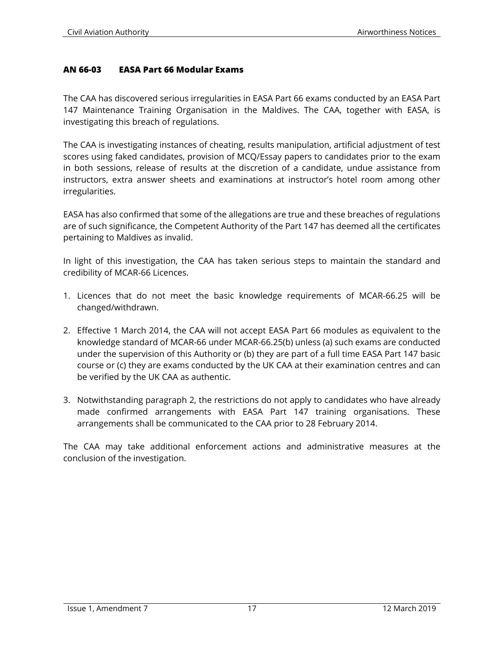#### **AN 66-03 EASA Part 66 Modular Exams**

The CAA has discovered serious irregularities in EASA Part 66 exams conducted by an EASA Part 147 Maintenance Training Organisation in the Maldives. The CAA, together with EASA, is investigating this breach of regulations.

The CAA is investigating instances of cheating, results manipulation, artificial adjustment of test scores using faked candidates, provision of MCQ/Essay papers to candidates prior to the exam in both sessions, release of results at the discretion of a candidate, undue assistance from instructors, extra answer sheets and examinations at instructor's hotel room among other irregularities.

EASA has also confirmed that some of the allegations are true and these breaches of regulations are of such significance, the Competent Authority of the Part 147 has deemed all the certificates pertaining to Maldives as invalid.

In light of this investigation, the CAA has taken serious steps to maintain the standard and credibility of MCAR-66 Licences.

- 1. Licences that do not meet the basic knowledge requirements of MCAR-66.25 will be changed/withdrawn.
- 2. Effective 1 March 2014, the CAA will not accept EASA Part 66 modules as equivalent to the knowledge standard of MCAR-66 under MCAR-66.25(b) unless (a) such exams are conducted under the supervision of this Authority or (b) they are part of a full time EASA Part 147 basic course or (c) they are exams conducted by the UK CAA at their examination centres and can be verified by the UK CAA as authentic.
- 3. Notwithstanding paragraph 2, the restrictions do not apply to candidates who have already made confirmed arrangements with EASA Part 147 training organisations. These arrangements shall be communicated to the CAA prior to 28 February 2014.

The CAA may take additional enforcement actions and administrative measures at the conclusion of the investigation.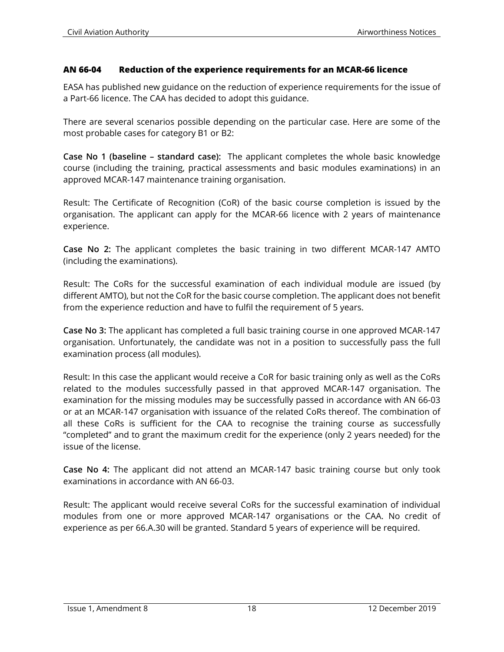#### **AN 66-04 Reduction of the experience requirements for an MCAR-66 licence**

EASA has published new guidance on the reduction of experience requirements for the issue of a Part-66 licence. The CAA has decided to adopt this guidance.

There are several scenarios possible depending on the particular case. Here are some of the most probable cases for category B1 or B2:

**Case No 1 (baseline – standard case):** The applicant completes the whole basic knowledge course (including the training, practical assessments and basic modules examinations) in an approved MCAR-147 maintenance training organisation.

Result: The Certificate of Recognition (CoR) of the basic course completion is issued by the organisation. The applicant can apply for the MCAR-66 licence with 2 years of maintenance experience.

**Case No 2:** The applicant completes the basic training in two different MCAR-147 AMTO (including the examinations).

Result: The CoRs for the successful examination of each individual module are issued (by different AMTO), but not the CoR for the basic course completion. The applicant does not benefit from the experience reduction and have to fulfil the requirement of 5 years.

**Case No 3:** The applicant has completed a full basic training course in one approved MCAR-147 organisation. Unfortunately, the candidate was not in a position to successfully pass the full examination process (all modules).

Result: In this case the applicant would receive a CoR for basic training only as well as the CoRs related to the modules successfully passed in that approved MCAR-147 organisation. The examination for the missing modules may be successfully passed in accordance with AN 66-03 or at an MCAR-147 organisation with issuance of the related CoRs thereof. The combination of all these CoRs is sufficient for the CAA to recognise the training course as successfully "completed" and to grant the maximum credit for the experience (only 2 years needed) for the issue of the license.

**Case No 4:** The applicant did not attend an MCAR-147 basic training course but only took examinations in accordance with AN 66-03.

Result: The applicant would receive several CoRs for the successful examination of individual modules from one or more approved MCAR-147 organisations or the CAA. No credit of experience as per 66.A.30 will be granted. Standard 5 years of experience will be required.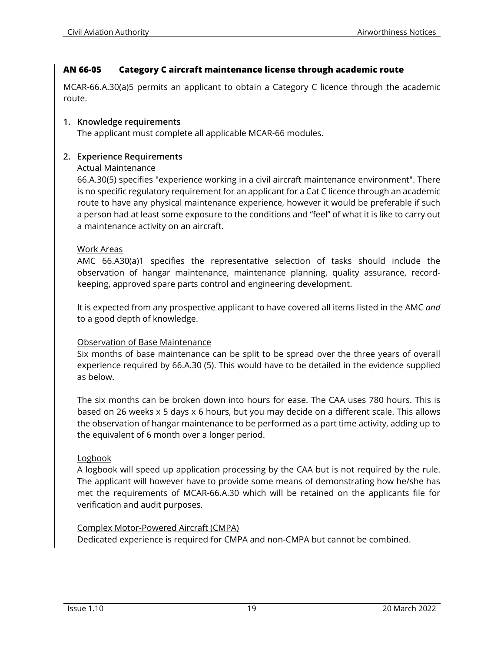#### **AN 66-05 Category C aircraft maintenance license through academic route**

MCAR-66.A.30(a)5 permits an applicant to obtain a Category C licence through the academic route.

#### **1. Knowledge requirements**

The applicant must complete all applicable MCAR-66 modules.

#### **2. Experience Requirements**

#### Actual Maintenance

66.A.30(5) specifies "experience working in a civil aircraft maintenance environment". There is no specific regulatory requirement for an applicant for a Cat C licence through an academic route to have any physical maintenance experience, however it would be preferable if such a person had at least some exposure to the conditions and "feel" of what it is like to carry out a maintenance activity on an aircraft.

#### Work Areas

AMC 66.A30(a)1 specifies the representative selection of tasks should include the observation of hangar maintenance, maintenance planning, quality assurance, recordkeeping, approved spare parts control and engineering development.

It is expected from any prospective applicant to have covered all items listed in the AMC *and* to a good depth of knowledge.

#### Observation of Base Maintenance

Six months of base maintenance can be split to be spread over the three years of overall experience required by 66.A.30 (5). This would have to be detailed in the evidence supplied as below.

The six months can be broken down into hours for ease. The CAA uses 780 hours. This is based on 26 weeks x 5 days x 6 hours, but you may decide on a different scale. This allows the observation of hangar maintenance to be performed as a part time activity, adding up to the equivalent of 6 month over a longer period.

#### Logbook

A logbook will speed up application processing by the CAA but is not required by the rule. The applicant will however have to provide some means of demonstrating how he/she has met the requirements of MCAR-66.A.30 which will be retained on the applicants file for verification and audit purposes.

#### Complex Motor-Powered Aircraft (CMPA)

Dedicated experience is required for CMPA and non-CMPA but cannot be combined.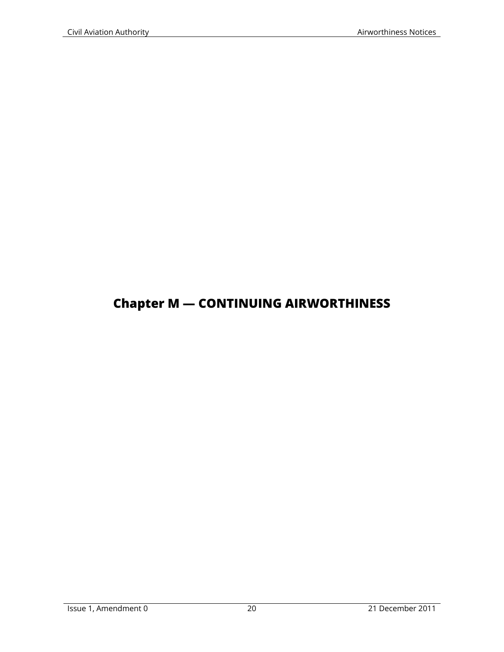# **Chapter M — CONTINUING AIRWORTHINESS**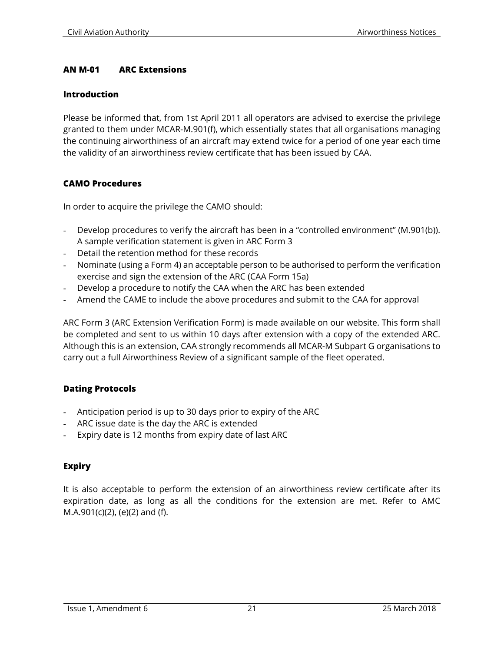#### **AN M-01 ARC Extensions**

#### **Introduction**

Please be informed that, from 1st April 2011 all operators are advised to exercise the privilege granted to them under MCAR-M.901(f), which essentially states that all organisations managing the continuing airworthiness of an aircraft may extend twice for a period of one year each time the validity of an airworthiness review certificate that has been issued by CAA.

#### **CAMO Procedures**

In order to acquire the privilege the CAMO should:

- Develop procedures to verify the aircraft has been in a "controlled environment" (M.901(b)). A sample verification statement is given in ARC Form 3
- Detail the retention method for these records
- Nominate (using a Form 4) an acceptable person to be authorised to perform the verification exercise and sign the extension of the ARC (CAA Form 15a)
- Develop a procedure to notify the CAA when the ARC has been extended
- Amend the CAME to include the above procedures and submit to the CAA for approval

ARC Form 3 (ARC Extension Verification Form) is made available on our website. This form shall be completed and sent to us within 10 days after extension with a copy of the extended ARC. Although this is an extension, CAA strongly recommends all MCAR-M Subpart G organisations to carry out a full Airworthiness Review of a significant sample of the fleet operated.

#### **Dating Protocols**

- Anticipation period is up to 30 days prior to expiry of the ARC
- ARC issue date is the day the ARC is extended
- Expiry date is 12 months from expiry date of last ARC

#### **Expiry**

It is also acceptable to perform the extension of an airworthiness review certificate after its expiration date, as long as all the conditions for the extension are met. Refer to AMC M.A.901(c)(2), (e)(2) and (f).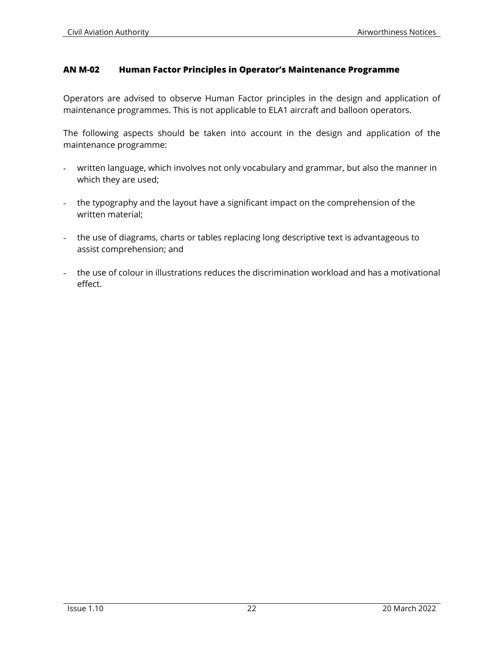#### **AN M-02 Human Factor Principles in Operator's Maintenance Programme**

Operators are advised to observe Human Factor principles in the design and application of maintenance programmes. This is not applicable to ELA1 aircraft and balloon operators.

The following aspects should be taken into account in the design and application of the maintenance programme:

- written language, which involves not only vocabulary and grammar, but also the manner in which they are used;
- the typography and the layout have a significant impact on the comprehension of the written material;
- the use of diagrams, charts or tables replacing long descriptive text is advantageous to assist comprehension; and
- the use of colour in illustrations reduces the discrimination workload and has a motivational effect.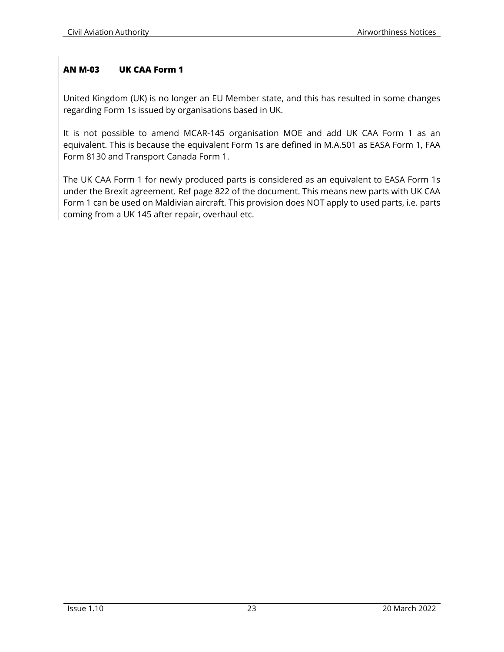## **AN M-03 UK CAA Form 1**

United Kingdom (UK) is no longer an EU Member state, and this has resulted in some changes regarding Form 1s issued by organisations based in UK.

It is not possible to amend MCAR-145 organisation MOE and add UK CAA Form 1 as an equivalent. This is because the equivalent Form 1s are defined in M.A.501 as EASA Form 1, FAA Form 8130 and Transport Canada Form 1.

The UK CAA Form 1 for newly produced parts is considered as an equivalent to EASA Form 1s under the Brexit agreement. Ref page 822 of the document. This means new parts with UK CAA Form 1 can be used on Maldivian aircraft. This provision does NOT apply to used parts, i.e. parts coming from a UK 145 after repair, overhaul etc.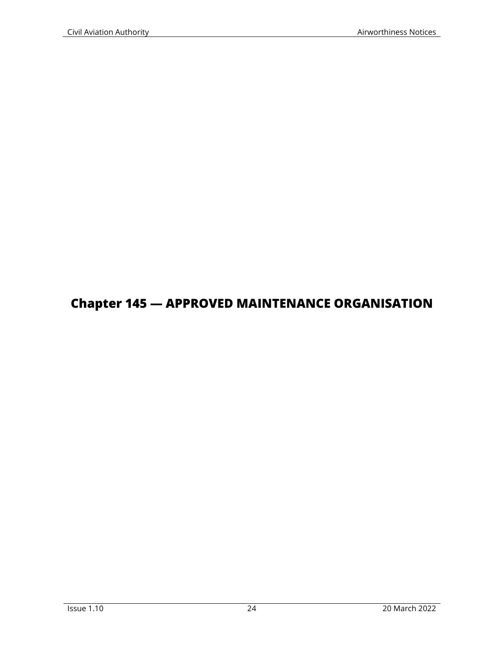# **Chapter 145 — APPROVED MAINTENANCE ORGANISATION**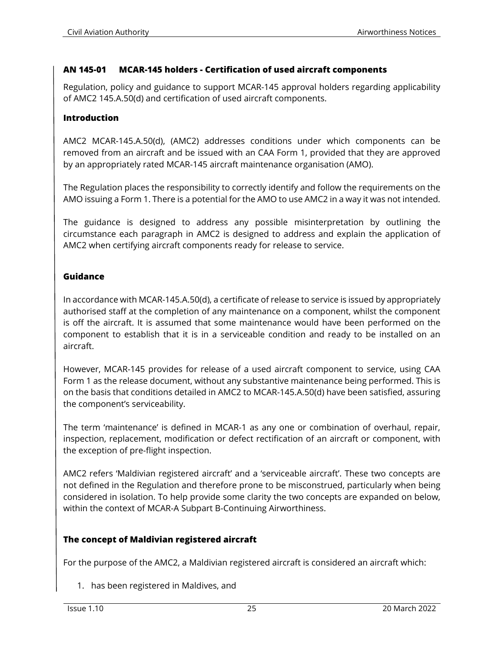#### **AN 145-01 MCAR-145 holders - Certification of used aircraft components**

Regulation, policy and guidance to support MCAR-145 approval holders regarding applicability of AMC2 145.A.50(d) and certification of used aircraft components.

#### **Introduction**

AMC2 MCAR-145.A.50(d), (AMC2) addresses conditions under which components can be removed from an aircraft and be issued with an CAA Form 1, provided that they are approved by an appropriately rated MCAR-145 aircraft maintenance organisation (AMO).

The Regulation places the responsibility to correctly identify and follow the requirements on the AMO issuing a Form 1. There is a potential for the AMO to use AMC2 in a way it was not intended.

The guidance is designed to address any possible misinterpretation by outlining the circumstance each paragraph in AMC2 is designed to address and explain the application of AMC2 when certifying aircraft components ready for release to service.

#### **Guidance**

In accordance with MCAR-145.A.50(d), a certificate of release to service is issued by appropriately authorised staff at the completion of any maintenance on a component, whilst the component is off the aircraft. It is assumed that some maintenance would have been performed on the component to establish that it is in a serviceable condition and ready to be installed on an aircraft.

However, MCAR-145 provides for release of a used aircraft component to service, using CAA Form 1 as the release document, without any substantive maintenance being performed. This is on the basis that conditions detailed in AMC2 to MCAR-145.A.50(d) have been satisfied, assuring the component's serviceability.

The term 'maintenance' is defined in MCAR-1 as any one or combination of overhaul, repair, inspection, replacement, modification or defect rectification of an aircraft or component, with the exception of pre-flight inspection.

AMC2 refers 'Maldivian registered aircraft' and a 'serviceable aircraft'. These two concepts are not defined in the Regulation and therefore prone to be misconstrued, particularly when being considered in isolation. To help provide some clarity the two concepts are expanded on below, within the context of MCAR-A Subpart B-Continuing Airworthiness.

#### **The concept of Maldivian registered aircraft**

For the purpose of the AMC2, a Maldivian registered aircraft is considered an aircraft which:

1. has been registered in Maldives, and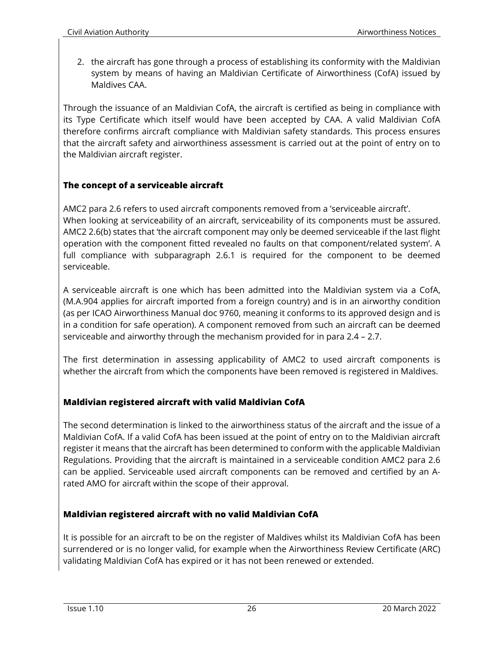2. the aircraft has gone through a process of establishing its conformity with the Maldivian system by means of having an Maldivian Certificate of Airworthiness (CofA) issued by Maldives CAA.

Through the issuance of an Maldivian CofA, the aircraft is certified as being in compliance with its Type Certificate which itself would have been accepted by CAA. A valid Maldivian CofA therefore confirms aircraft compliance with Maldivian safety standards. This process ensures that the aircraft safety and airworthiness assessment is carried out at the point of entry on to the Maldivian aircraft register.

# **The concept of a serviceable aircraft**

AMC2 para 2.6 refers to used aircraft components removed from a 'serviceable aircraft'. When looking at serviceability of an aircraft, serviceability of its components must be assured. AMC2 2.6(b) states that 'the aircraft component may only be deemed serviceable if the last flight operation with the component fitted revealed no faults on that component/related system'. A full compliance with subparagraph 2.6.1 is required for the component to be deemed serviceable.

A serviceable aircraft is one which has been admitted into the Maldivian system via a CofA, (M.A.904 applies for aircraft imported from a foreign country) and is in an airworthy condition (as per ICAO Airworthiness Manual doc 9760, meaning it conforms to its approved design and is in a condition for safe operation). A component removed from such an aircraft can be deemed serviceable and airworthy through the mechanism provided for in para 2.4 – 2.7.

The first determination in assessing applicability of AMC2 to used aircraft components is whether the aircraft from which the components have been removed is registered in Maldives.

## **Maldivian registered aircraft with valid Maldivian CofA**

The second determination is linked to the airworthiness status of the aircraft and the issue of a Maldivian CofA. If a valid CofA has been issued at the point of entry on to the Maldivian aircraft register it means that the aircraft has been determined to conform with the applicable Maldivian Regulations. Providing that the aircraft is maintained in a serviceable condition AMC2 para 2.6 can be applied. Serviceable used aircraft components can be removed and certified by an Arated AMO for aircraft within the scope of their approval.

## **Maldivian registered aircraft with no valid Maldivian CofA**

It is possible for an aircraft to be on the register of Maldives whilst its Maldivian CofA has been surrendered or is no longer valid, for example when the Airworthiness Review Certificate (ARC) validating Maldivian CofA has expired or it has not been renewed or extended.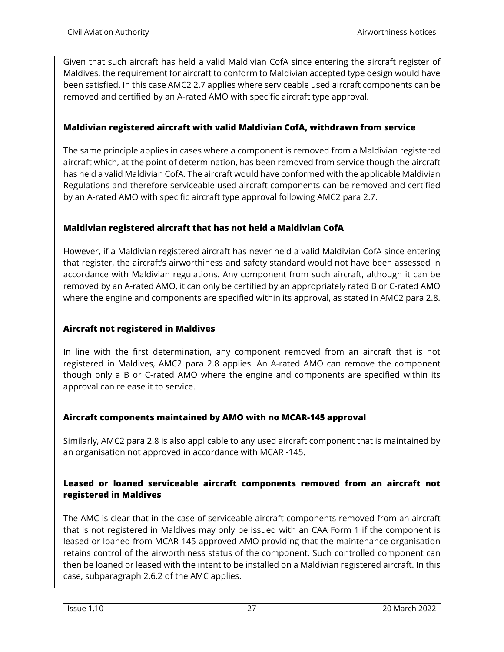Given that such aircraft has held a valid Maldivian CofA since entering the aircraft register of Maldives, the requirement for aircraft to conform to Maldivian accepted type design would have been satisfied. In this case AMC2 2.7 applies where serviceable used aircraft components can be removed and certified by an A-rated AMO with specific aircraft type approval.

#### **Maldivian registered aircraft with valid Maldivian CofA, withdrawn from service**

The same principle applies in cases where a component is removed from a Maldivian registered aircraft which, at the point of determination, has been removed from service though the aircraft has held a valid Maldivian CofA. The aircraft would have conformed with the applicable Maldivian Regulations and therefore serviceable used aircraft components can be removed and certified by an A-rated AMO with specific aircraft type approval following AMC2 para 2.7.

#### **Maldivian registered aircraft that has not held a Maldivian CofA**

However, if a Maldivian registered aircraft has never held a valid Maldivian CofA since entering that register, the aircraft's airworthiness and safety standard would not have been assessed in accordance with Maldivian regulations. Any component from such aircraft, although it can be removed by an A-rated AMO, it can only be certified by an appropriately rated B or C-rated AMO where the engine and components are specified within its approval, as stated in AMC2 para 2.8.

## **Aircraft not registered in Maldives**

In line with the first determination, any component removed from an aircraft that is not registered in Maldives, AMC2 para 2.8 applies. An A-rated AMO can remove the component though only a B or C-rated AMO where the engine and components are specified within its approval can release it to service.

## **Aircraft components maintained by AMO with no MCAR-145 approval**

Similarly, AMC2 para 2.8 is also applicable to any used aircraft component that is maintained by an organisation not approved in accordance with MCAR -145.

#### **Leased or loaned serviceable aircraft components removed from an aircraft not registered in Maldives**

The AMC is clear that in the case of serviceable aircraft components removed from an aircraft that is not registered in Maldives may only be issued with an CAA Form 1 if the component is leased or loaned from MCAR-145 approved AMO providing that the maintenance organisation retains control of the airworthiness status of the component. Such controlled component can then be loaned or leased with the intent to be installed on a Maldivian registered aircraft. In this case, subparagraph 2.6.2 of the AMC applies.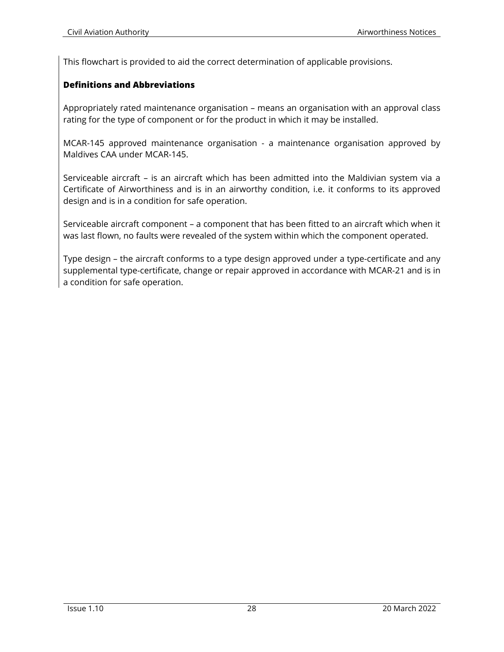This flowchart is provided to aid the correct determination of applicable provisions.

#### **Definitions and Abbreviations**

Appropriately rated maintenance organisation – means an organisation with an approval class rating for the type of component or for the product in which it may be installed.

MCAR-145 approved maintenance organisation - a maintenance organisation approved by Maldives CAA under MCAR-145.

Serviceable aircraft – is an aircraft which has been admitted into the Maldivian system via a Certificate of Airworthiness and is in an airworthy condition, i.e. it conforms to its approved design and is in a condition for safe operation.

Serviceable aircraft component – a component that has been fitted to an aircraft which when it was last flown, no faults were revealed of the system within which the component operated.

Type design – the aircraft conforms to a type design approved under a type-certificate and any supplemental type-certificate, change or repair approved in accordance with MCAR-21 and is in a condition for safe operation.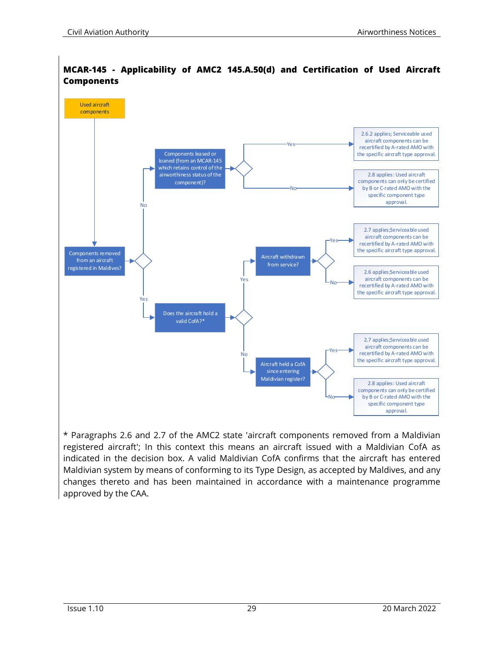

#### **MCAR-145 - Applicability of AMC2 145.A.50(d) and Certification of Used Aircraft Components**

\* Paragraphs 2.6 and 2.7 of the AMC2 state 'aircraft components removed from a Maldivian registered aircraft'; In this context this means an aircraft issued with a Maldivian CofA as indicated in the decision box. A valid Maldivian CofA confirms that the aircraft has entered Maldivian system by means of conforming to its Type Design, as accepted by Maldives, and any changes thereto and has been maintained in accordance with a maintenance programme approved by the CAA.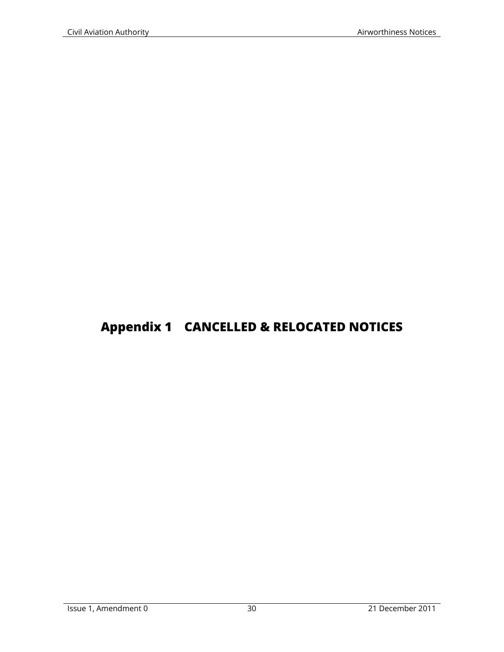# **Appendix 1 CANCELLED & RELOCATED NOTICES**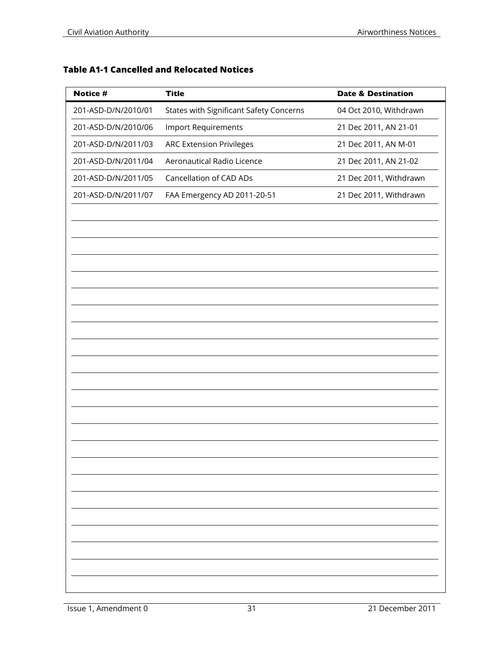# **Table A1-1 Cancelled and Relocated Notices**

| Notice #            | <b>Title</b>                            | <b>Date &amp; Destination</b> |
|---------------------|-----------------------------------------|-------------------------------|
| 201-ASD-D/N/2010/01 | States with Significant Safety Concerns | 04 Oct 2010, Withdrawn        |
| 201-ASD-D/N/2010/06 | <b>Import Requirements</b>              | 21 Dec 2011, AN 21-01         |
| 201-ASD-D/N/2011/03 | <b>ARC Extension Privileges</b>         | 21 Dec 2011, AN M-01          |
| 201-ASD-D/N/2011/04 | Aeronautical Radio Licence              | 21 Dec 2011, AN 21-02         |
| 201-ASD-D/N/2011/05 | Cancellation of CAD ADs                 | 21 Dec 2011, Withdrawn        |
| 201-ASD-D/N/2011/07 | FAA Emergency AD 2011-20-51             | 21 Dec 2011, Withdrawn        |
|                     |                                         |                               |
|                     |                                         |                               |
|                     |                                         |                               |
|                     |                                         |                               |
|                     |                                         |                               |
|                     |                                         |                               |
|                     |                                         |                               |
|                     |                                         |                               |
|                     |                                         |                               |
|                     |                                         |                               |
|                     |                                         |                               |
|                     |                                         |                               |
|                     |                                         |                               |
|                     |                                         |                               |
|                     |                                         |                               |
|                     |                                         |                               |
|                     |                                         |                               |
|                     |                                         |                               |
|                     |                                         |                               |
|                     |                                         |                               |
|                     |                                         |                               |
|                     |                                         |                               |
|                     |                                         |                               |
|                     |                                         |                               |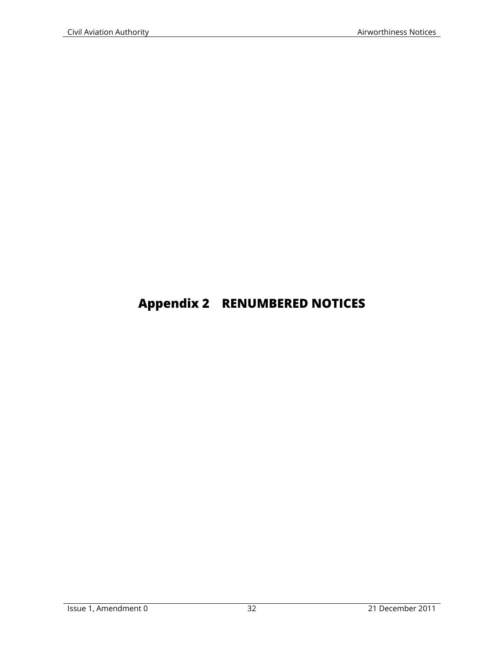# **Appendix 2 RENUMBERED NOTICES**